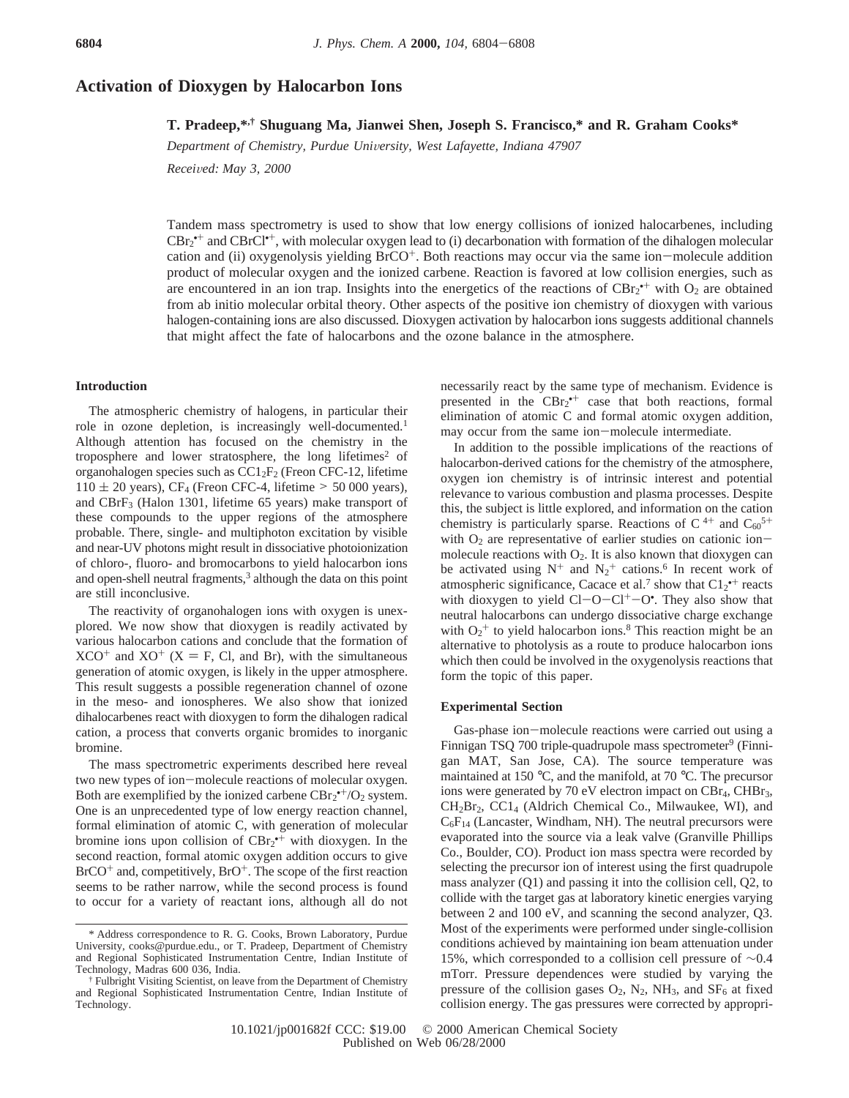# **Activation of Dioxygen by Halocarbon Ions**

**T. Pradeep,\*,† Shuguang Ma, Jianwei Shen, Joseph S. Francisco,\* and R. Graham Cooks\***

*Department of Chemistry, Purdue University, West Lafayette, Indiana 47907* 

*Recei*V*ed: May 3, 2000*

Tandem mass spectrometry is used to show that low energy collisions of ionized halocarbenes, including CBr<sub>2</sub><sup>++</sup> and CBrCl<sup>++</sup>, with molecular oxygen lead to (i) decarbonation with formation of the dihalogen molecular cation and (ii) oxygenolysis yielding BrCO+. Both reactions may occur via the same ion-molecule addition product of molecular oxygen and the ionized carbene. Reaction is favored at low collision energies, such as are encountered in an ion trap. Insights into the energetics of the reactions of  $CBr_2^*$  with  $O_2$  are obtained from ab initio molecular orbital theory. Other aspects of the positive ion chemistry of dioxygen with various halogen-containing ions are also discussed. Dioxygen activation by halocarbon ions suggests additional channels that might affect the fate of halocarbons and the ozone balance in the atmosphere.

#### **Introduction**

The atmospheric chemistry of halogens, in particular their role in ozone depletion, is increasingly well-documented.<sup>1</sup> Although attention has focused on the chemistry in the troposphere and lower stratosphere, the long lifetimes<sup>2</sup> of organohalogen species such as  $CC1_2F_2$  (Freon CFC-12, lifetime  $110 \pm 20$  years), CF<sub>4</sub> (Freon CFC-4, lifetime  $> 50000$  years), and CBrF3 (Halon 1301, lifetime 65 years) make transport of these compounds to the upper regions of the atmosphere probable. There, single- and multiphoton excitation by visible and near-UV photons might result in dissociative photoionization of chloro-, fluoro- and bromocarbons to yield halocarbon ions and open-shell neutral fragments,<sup>3</sup> although the data on this point are still inconclusive.

The reactivity of organohalogen ions with oxygen is unexplored. We now show that dioxygen is readily activated by various halocarbon cations and conclude that the formation of  $XCO^+$  and  $XO^+$  (X = F, Cl, and Br), with the simultaneous generation of atomic oxygen, is likely in the upper atmosphere. This result suggests a possible regeneration channel of ozone in the meso- and ionospheres. We also show that ionized dihalocarbenes react with dioxygen to form the dihalogen radical cation, a process that converts organic bromides to inorganic bromine.

The mass spectrometric experiments described here reveal two new types of ion-molecule reactions of molecular oxygen. Both are exemplified by the ionized carbene  $CBr_2^{\bullet+}/O_2$  system. One is an unprecedented type of low energy reaction channel, formal elimination of atomic C, with generation of molecular bromine ions upon collision of  $CBr_2^{\bullet+}$  with dioxygen. In the second reaction, formal atomic oxygen addition occurs to give  $BrCO<sup>+</sup>$  and, competitively,  $BrO<sup>+</sup>$ . The scope of the first reaction seems to be rather narrow, while the second process is found to occur for a variety of reactant ions, although all do not

necessarily react by the same type of mechanism. Evidence is presented in the  $CBr_2^{\bullet+}$  case that both reactions, formal elimination of atomic C and formal atomic oxygen addition, may occur from the same ion-molecule intermediate.

In addition to the possible implications of the reactions of halocarbon-derived cations for the chemistry of the atmosphere, oxygen ion chemistry is of intrinsic interest and potential relevance to various combustion and plasma processes. Despite this, the subject is little explored, and information on the cation chemistry is particularly sparse. Reactions of  $C^{4+}$  and  $C_{60}^{5+}$ with  $O_2$  are representative of earlier studies on cationic ionmolecule reactions with  $O_2$ . It is also known that dioxygen can be activated using  $N^+$  and  $N_2^+$  cations.<sup>6</sup> In recent work of atmospheric significance, Cacace et al.<sup>7</sup> show that  $Cl_2^{\bullet+}$  reacts with dioxygen to yield  $Cl-O-Cl^+-O^{\bullet}$ . They also show that<br>neutral halocarbons can undergo dissociative charge exchange neutral halocarbons can undergo dissociative charge exchange with  $O_2$ <sup>+</sup> to yield halocarbon ions.<sup>8</sup> This reaction might be an alternative to photolysis as a route to produce halocarbon ions which then could be involved in the oxygenolysis reactions that form the topic of this paper.

## **Experimental Section**

Gas-phase ion-molecule reactions were carried out using a Finnigan TSQ 700 triple-quadrupole mass spectrometer<sup>9</sup> (Finnigan MAT, San Jose, CA). The source temperature was maintained at 150 °C, and the manifold, at 70 °C. The precursor ions were generated by 70 eV electron impact on CBr<sub>4</sub>, CHBr<sub>3</sub>, CH2Br2, CC14 (Aldrich Chemical Co., Milwaukee, WI), and  $C_6F_{14}$  (Lancaster, Windham, NH). The neutral precursors were evaporated into the source via a leak valve (Granville Phillips Co., Boulder, CO). Product ion mass spectra were recorded by selecting the precursor ion of interest using the first quadrupole mass analyzer (Q1) and passing it into the collision cell, Q2, to collide with the target gas at laboratory kinetic energies varying between 2 and 100 eV, and scanning the second analyzer, Q3. Most of the experiments were performed under single-collision conditions achieved by maintaining ion beam attenuation under 15%, which corresponded to a collision cell pressure of ∼0.4 mTorr. Pressure dependences were studied by varying the pressure of the collision gases  $O_2$ ,  $N_2$ ,  $NH_3$ , and  $SF_6$  at fixed collision energy. The gas pressures were corrected by appropri-

<sup>\*</sup> Address correspondence to R. G. Cooks, Brown Laboratory, Purdue University, cooks@purdue.edu., or T. Pradeep, Department of Chemistry and Regional Sophisticated Instrumentation Centre, Indian Institute of Technology, Madras 600 036, India.

<sup>†</sup> Fulbright Visiting Scientist, on leave from the Department of Chemistry and Regional Sophisticated Instrumentation Centre, Indian Institute of Technology.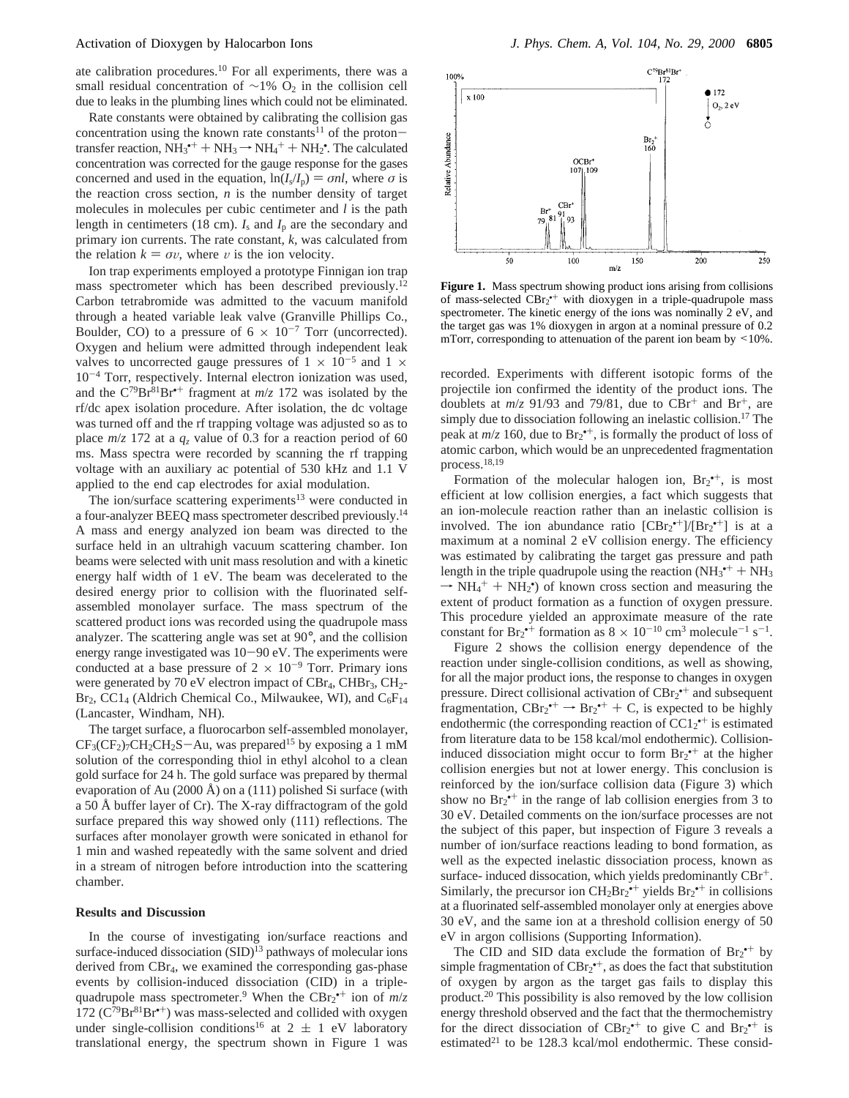ate calibration procedures.<sup>10</sup> For all experiments, there was a small residual concentration of  $\sim$ 1% O<sub>2</sub> in the collision cell due to leaks in the plumbing lines which could not be eliminated.

Rate constants were obtained by calibrating the collision gas concentration using the known rate constants<sup>11</sup> of the protontransfer reaction,  $NH_3^+ + NH_3 \rightarrow NH_4^+ + NH_2^*$ . The calculated<br>concentration was corrected for the gauge response for the gases concentration was corrected for the gauge response for the gases concerned and used in the equation,  $ln(I_s/I_p) = \sigma n l$ , where  $\sigma$  is the reaction cross section,  $n$  is the number density of target molecules in molecules per cubic centimeter and *l* is the path length in centimeters (18 cm).  $I_s$  and  $I_p$  are the secondary and primary ion currents. The rate constant, *k,* was calculated from the relation  $k = \sigma v$ , where v is the ion velocity.

Ion trap experiments employed a prototype Finnigan ion trap mass spectrometer which has been described previously.<sup>12</sup> Carbon tetrabromide was admitted to the vacuum manifold through a heated variable leak valve (Granville Phillips Co., Boulder, CO) to a pressure of  $6 \times 10^{-7}$  Torr (uncorrected). Oxygen and helium were admitted through independent leak valves to uncorrected gauge pressures of  $1 \times 10^{-5}$  and  $1 \times$ 10-<sup>4</sup> Torr, respectively. Internal electron ionization was used, and the  $C^{79}Br^{81}Br^{*+}$  fragment at  $m/z$  172 was isolated by the rf/dc apex isolation procedure. After isolation, the dc voltage was turned off and the rf trapping voltage was adjusted so as to place  $m/z$  172 at a  $q_z$  value of 0.3 for a reaction period of 60 ms. Mass spectra were recorded by scanning the rf trapping voltage with an auxiliary ac potential of 530 kHz and 1.1 V applied to the end cap electrodes for axial modulation.

The ion/surface scattering experiments<sup>13</sup> were conducted in a four-analyzer BEEQ mass spectrometer described previously.14 A mass and energy analyzed ion beam was directed to the surface held in an ultrahigh vacuum scattering chamber. Ion beams were selected with unit mass resolution and with a kinetic energy half width of 1 eV. The beam was decelerated to the desired energy prior to collision with the fluorinated selfassembled monolayer surface. The mass spectrum of the scattered product ions was recorded using the quadrupole mass analyzer. The scattering angle was set at 90°, and the collision energy range investigated was 10-90 eV. The experiments were conducted at a base pressure of  $2 \times 10^{-9}$  Torr. Primary ions were generated by 70 eV electron impact of  $CBr_4$ ,  $CHBr_3$ ,  $CH_2$ - $Br_2$ , CC1<sub>4</sub> (Aldrich Chemical Co., Milwaukee, WI), and  $C_6F_{14}$ (Lancaster, Windham, NH).

The target surface, a fluorocarbon self-assembled monolayer,  $CF<sub>3</sub>(CF<sub>2</sub>)<sub>7</sub>CH<sub>2</sub>CH<sub>2</sub>S-Au$ , was prepared<sup>15</sup> by exposing a 1 mM solution of the corresponding thiol in ethyl alcohol to a clean gold surface for 24 h. The gold surface was prepared by thermal evaporation of Au  $(2000 \text{ Å})$  on a  $(111)$  polished Si surface (with a 50 Å buffer layer of Cr). The X-ray diffractogram of the gold surface prepared this way showed only (111) reflections. The surfaces after monolayer growth were sonicated in ethanol for 1 min and washed repeatedly with the same solvent and dried in a stream of nitrogen before introduction into the scattering chamber.

### **Results and Discussion**

In the course of investigating ion/surface reactions and surface-induced dissociation (SID)<sup>13</sup> pathways of molecular ions derived from CBr<sub>4</sub>, we examined the corresponding gas-phase events by collision-induced dissociation (CID) in a triplequadrupole mass spectrometer.<sup>9</sup> When the  $CBr_2^{\bullet+}$  ion of  $m/z$ 172 ( $C^{79}Br^{81}Br^{*+}$ ) was mass-selected and collided with oxygen under single-collision conditions<sup>16</sup> at  $2 \pm 1$  eV laboratory translational energy, the spectrum shown in Figure 1 was



**Figure 1.** Mass spectrum showing product ions arising from collisions of mass-selected  $CBr_2$ <sup>++</sup> with dioxygen in a triple-quadrupole mass spectrometer. The kinetic energy of the ions was nominally 2 eV, and the target gas was 1% dioxygen in argon at a nominal pressure of 0.2 mTorr, corresponding to attenuation of the parent ion beam by  $\leq 10\%$ .

recorded. Experiments with different isotopic forms of the projectile ion confirmed the identity of the product ions. The doublets at  $m/z$  91/93 and 79/81, due to  $CBr^+$  and  $Br^+$ , are simply due to dissociation following an inelastic collision.<sup>17</sup> The peak at  $m/z$  160, due to  $Br_2^{\bullet +}$ , is formally the product of loss of atomic carbon, which would be an unprecedented fragmentation process.18,19

Formation of the molecular halogen ion,  $Br_2^{\bullet+}$ , is most efficient at low collision energies, a fact which suggests that an ion-molecule reaction rather than an inelastic collision is involved. The ion abundance ratio  $[CBr_2^{*+}]/[Br_2^{*+}]$  is at a maximum at a nominal 2 eV collision energy. The efficiency was estimated by calibrating the target gas pressure and path length in the triple quadrupole using the reaction  $(NH_3^{\bullet+} + NH_3)$ <br>  $\rightarrow NH_4^{\bullet+} + NH_3^{\bullet}$  of known cross section and measuring the  $\rightarrow$  NH<sub>4</sub><sup>+</sup> + NH<sub>2</sub><sup>\*</sup>) of known cross section and measuring the extent of product formation as a function of oxygen pressure extent of product formation as a function of oxygen pressure. This procedure yielded an approximate measure of the rate constant for  $Br_2^{\bullet+}$  formation as  $8 \times 10^{-10}$  cm<sup>3</sup> molecule<sup>-1</sup> s<sup>-1</sup>.

Figure 2 shows the collision energy dependence of the reaction under single-collision conditions, as well as showing, for all the major product ions, the response to changes in oxygen pressure. Direct collisional activation of CBr<sub>2</sub><sup>++</sup> and subsequent fragmentation,  $CBr_2^{\bullet+} \rightarrow Br_2^{\bullet+} + C$ , is expected to be highly<br>endothermic (the corresponding reaction of CC1s<sup>++</sup> is estimated endothermic (the corresponding reaction of  $CC1_2^{\bullet+}$  is estimated from literature data to be 158 kcal/mol endothermic). Collisioninduced dissociation might occur to form  $Br_2^{+}$  at the higher collision energies but not at lower energy. This conclusion is reinforced by the ion/surface collision data (Figure 3) which show no  $Br_2^{\bullet+}$  in the range of lab collision energies from 3 to 30 eV. Detailed comments on the ion/surface processes are not the subject of this paper, but inspection of Figure 3 reveals a number of ion/surface reactions leading to bond formation, as well as the expected inelastic dissociation process, known as surface- induced dissocation, which yields predominantly CBr<sup>+</sup>. Similarly, the precursor ion  $CH_2Br_2^{\bullet+}$  yields  $Br_2^{\bullet+}$  in collisions at a fluorinated self-assembled monolayer only at energies above 30 eV, and the same ion at a threshold collision energy of 50 eV in argon collisions (Supporting Information).

The CID and SID data exclude the formation of  $Br_2^{\bullet+}$  by simple fragmentation of  $CBr_2^{\bullet+}$ , as does the fact that substitution of oxygen by argon as the target gas fails to display this product.20 This possibility is also removed by the low collision energy threshold observed and the fact that the thermochemistry for the direct dissociation of  $CBr_2^{\bullet+}$  to give C and  $Br_2^{\bullet+}$  is estimated<sup>21</sup> to be 128.3 kcal/mol endothermic. These consid-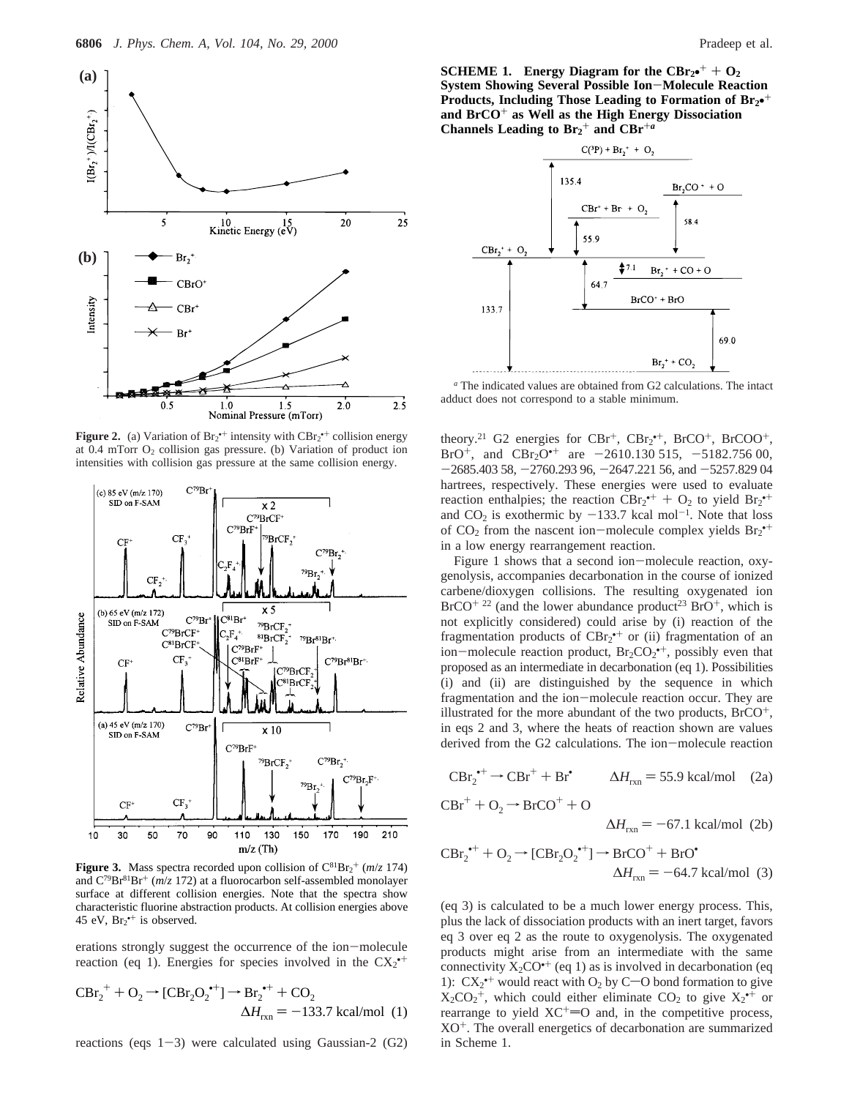

**Figure 2.** (a) Variation of  $Br_2^{\bullet+}$  intensity with  $CBr_2^{\bullet+}$  collision energy at  $0.4$  mTorr  $O_2$  collision gas pressure. (b) Variation of product ion intensities with collision gas pressure at the same collision energy.



**Figure 3.** Mass spectra recorded upon collision of  $C^{81}Br_2^+(m/z)$  174) and  $C^{79}Br^{81}Br^+$  ( $m/z$  172) at a fluorocarbon self-assembled monolayer surface at different collision energies. Note that the spectra show characteristic fluorine abstraction products. At collision energies above 45 eV,  $Br_2^{\bullet+}$  is observed.

erations strongly suggest the occurrence of the ion-molecule reaction (eq 1). Energies for species involved in the  $CX_2^{\bullet+}$ 

$$
CBr_2^+ + O_2 \rightarrow [CBr_2O_2^{+1}] \rightarrow Br_2^{++} + CO_2
$$
  

$$
\Delta H_{rxn} = -133.7 \text{ kcal/mol (1)}
$$

reactions (eqs  $1-3$ ) were calculated using Gaussian-2 (G2)

**SCHEME 1.** Energy Diagram for the  $CBr_{2}^{\bullet+} + O_{2}$ **System Showing Several Possible Ion**-**Molecule Reaction Products, Including Those Leading to Formation of Br2**•<sup>+</sup> **and BrCO**<sup>+</sup> **as Well as the High Energy Dissociation** Channels Leading to  $Br_2^+$  and  $CBr^{+a}$ 



*<sup>a</sup>* The indicated values are obtained from G2 calculations. The intact adduct does not correspond to a stable minimum.

theory.<sup>21</sup> G2 energies for  $CBr^+$ ,  $CBr_2^{\bullet+}$ ,  $BrCO^+$ ,  $BrCOO^+$ , BrO<sup>+</sup>, and CBr<sub>2</sub>O<sup>++</sup> are -2610.130 515, -5182.756 00,  $-2685.40358, -2760.29396, -2647.22156,$  and  $-5257.82904$ hartrees, respectively. These energies were used to evaluate reaction enthalpies; the reaction  $CBr_2^{*+} + O_2$  to yield  $Br_2^{*+}$ <br>and CO<sub>2</sub> is exothermic by  $-133.7$  kcal mol<sup>-1</sup>. Note that loss and  $CO_2$  is exothermic by  $-133.7$  kcal mol<sup>-1</sup>. Note that loss of  $CO_2$  from the nascent ion-molecule complex yields  $Br_2^{*+}$ <br>in a low energy rearrangement reaction in a low energy rearrangement reaction.

Figure 1 shows that a second ion-molecule reaction, oxygenolysis, accompanies decarbonation in the course of ionized carbene/dioxygen collisions. The resulting oxygenated ion  $BrCO<sup>+</sup> 22$  (and the lower abundance product<sup>23</sup> BrO<sup>+</sup>, which is not explicitly considered) could arise by (i) reaction of the fragmentation products of  $CBr_2^{\bullet+}$  or (ii) fragmentation of an ion-molecule reaction product,  $Br_2CO_2^{++}$ , possibly even that proposed as an intermediate in decarbonation (eq. 1). Possibilities proposed as an intermediate in decarbonation (eq 1). Possibilities (i) and (ii) are distinguished by the sequence in which fragmentation and the ion-molecule reaction occur. They are illustrated for the more abundant of the two products,  $BrCO^{+}$ , in eqs 2 and 3, where the heats of reaction shown are values derived from the G2 calculations. The ion-molecule reaction

$$
CBr_2^{\bullet+} \rightarrow CBr^+ + Br^{\bullet}
$$
 
$$
\Delta H_{rxn} = 55.9 \text{ kcal/mol} \quad (2a)
$$

$$
CBr^+ + O_2 \rightarrow BrCO^+ + O
$$

$$
\Delta H_{rxn} = -67.1 \text{ kcal/mol} \quad (2b)
$$

$$
CBr_2^{\bullet+} + O_2 \rightarrow [CBr_2O_2^{\bullet+}] \rightarrow BrCO^+ + BrO^{\bullet}
$$
  

$$
\Delta H_{rxn} = -64.7 \text{ kcal/mol (3)}
$$

(eq 3) is calculated to be a much lower energy process. This, plus the lack of dissociation products with an inert target, favors eq 3 over eq 2 as the route to oxygenolysis. The oxygenated products might arise from an intermediate with the same connectivity  $X_2CO^+$  (eq 1) as is involved in decarbonation (eq 1):  $CX_2^{\bullet+}$  would react with O<sub>2</sub> by C-O bond formation to give  $X_2CO_2^+$ , which could either eliminate  $CO_2$  to give  $X_2^{\bullet+}$  or rearrange to yield  $XC^+=O$  and, in the competitive process,  $XO<sup>+</sup>$ . The overall energetics of decarbonation are summarized in Scheme 1.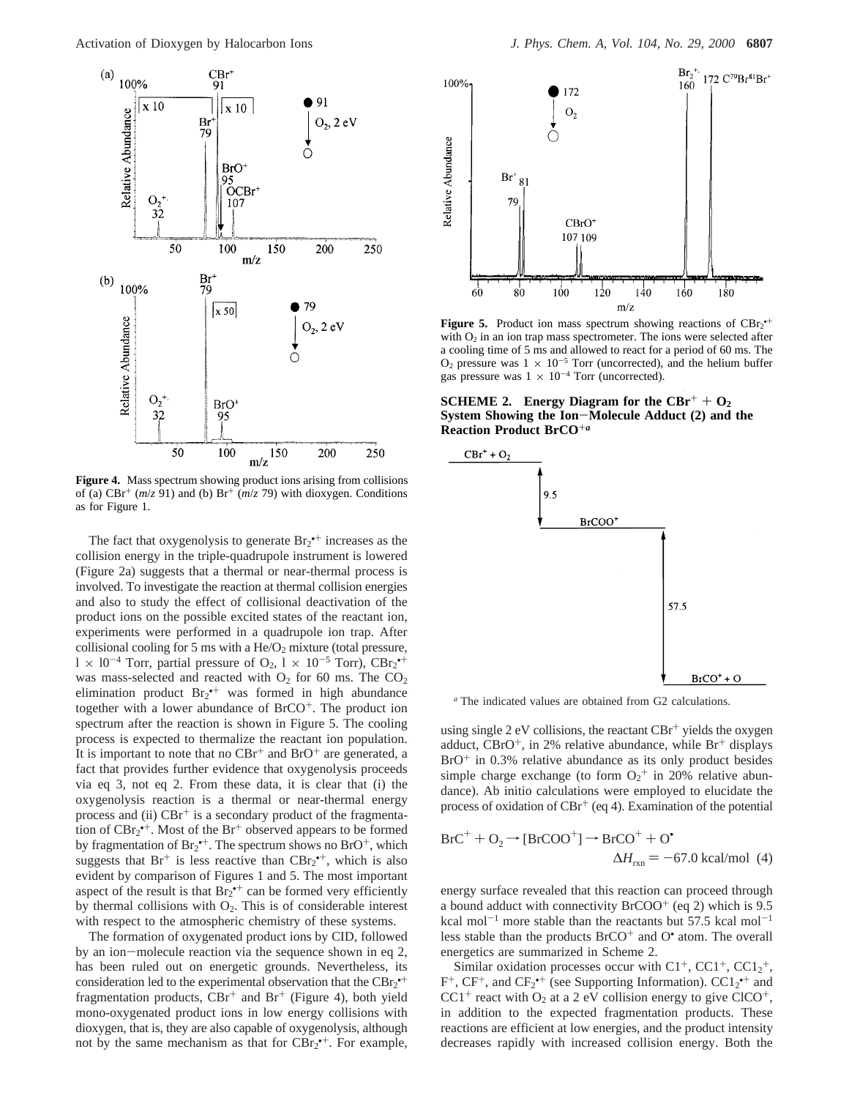

**Figure 4.** Mass spectrum showing product ions arising from collisions of (a)  $CBr^{+}$  ( $m/z$  91) and (b)  $Br^{+}$  ( $m/z$  79) with dioxygen. Conditions as for Figure 1.

The fact that oxygenolysis to generate  $Br_2^{\bullet+}$  increases as the collision energy in the triple-quadrupole instrument is lowered (Figure 2a) suggests that a thermal or near-thermal process is involved. To investigate the reaction at thermal collision energies and also to study the effect of collisional deactivation of the product ions on the possible excited states of the reactant ion, experiments were performed in a quadrupole ion trap. After collisional cooling for 5 ms with a  $He/O<sub>2</sub>$  mixture (total pressure,  $1 \times 10^{-4}$  Torr, partial pressure of O<sub>2</sub>,  $1 \times 10^{-5}$  Torr), CBr<sub>2</sub><sup>++</sup> was mass-selected and reacted with  $O_2$  for 60 ms. The  $CO_2$ elimination product  $Br_2^{++}$  was formed in high abundance together with a lower abundance of BrCO<sup>+</sup>. The product ion spectrum after the reaction is shown in Figure 5. The cooling process is expected to thermalize the reactant ion population. It is important to note that no  $CBr^+$  and  $BrO^+$  are generated, a fact that provides further evidence that oxygenolysis proceeds via eq 3, not eq 2. From these data, it is clear that (i) the oxygenolysis reaction is a thermal or near-thermal energy process and (ii)  $CBr^+$  is a secondary product of the fragmentation of  $CBr_2^*$ . Most of the  $Br^+$  observed appears to be formed by fragmentation of  $Br_2^{\bullet+}$ . The spectrum shows no  $BrO^+$ , which suggests that  $Br^+$  is less reactive than  $CBr_2^{\bullet+}$ , which is also evident by comparison of Figures 1 and 5. The most important aspect of the result is that  $Br_2^{\bullet+}$  can be formed very efficiently by thermal collisions with  $O_2$ . This is of considerable interest with respect to the atmospheric chemistry of these systems.

The formation of oxygenated product ions by CID, followed by an ion-molecule reaction via the sequence shown in eq 2, has been ruled out on energetic grounds. Nevertheless, its consideration led to the experimental observation that the  $CBr_2$ <sup>++</sup> fragmentation products,  $CBr^+$  and  $Br^+$  (Figure 4), both yield mono-oxygenated product ions in low energy collisions with dioxygen, that is, they are also capable of oxygenolysis, although not by the same mechanism as that for  $CBr_2^{\bullet+}$ . For example,



**Figure 5.** Product ion mass spectrum showing reactions of  $CBr_2$ <sup>++</sup> with  $O_2$  in an ion trap mass spectrometer. The ions were selected after a cooling time of 5 ms and allowed to react for a period of 60 ms. The  $O_2$  pressure was  $1 \times 10^{-5}$  Torr (uncorrected), and the helium buffer gas pressure was  $1 \times 10^{-4}$  Torr (uncorrected).

**SCHEME 2.** Energy Diagram for the  $CBr^+ + O_2$ **System Showing the Ion**-**Molecule Adduct (2) and the Reaction Product BrCO**+*<sup>a</sup>*



*<sup>a</sup>* The indicated values are obtained from G2 calculations.

using single  $2$  eV collisions, the reactant  $CBr^+$  yields the oxygen adduct,  $CBrO<sup>+</sup>$ , in 2% relative abundance, while  $Br<sup>+</sup>$  displays  $BrO<sup>+</sup>$  in 0.3% relative abundance as its only product besides simple charge exchange (to form  $O_2^+$  in 20% relative abundance). Ab initio calculations were employed to elucidate the process of oxidation of  $CBr^+$  (eq 4). Examination of the potential

$$
BrC^{+} + O_{2} \rightarrow [BrCOO^{+}] \rightarrow BrCO^{+} + O^{\bullet}
$$
  

$$
\Delta H_{rxn} = -67.0 \text{ kcal/mol (4)}
$$

energy surface revealed that this reaction can proceed through a bound adduct with connectivity  $BrCOO<sup>+</sup>$  (eq 2) which is 9.5 kcal mol<sup>-1</sup> more stable than the reactants but 57.5 kcal mol<sup>-1</sup> less stable than the products  $BrCO<sup>+</sup>$  and  $O<sup>•</sup>$  atom. The overall energetics are summarized in Scheme 2.

Similar oxidation processes occur with  $Cl^+$ ,  $CC1^+$ ,  $CC1_2^+$ ,  $F^+$ ,  $CF^+$ , and  $CF_2^{\bullet+}$  (see Supporting Information).  $CC1_2^{\bullet+}$  and  $CC1<sup>+</sup>$  react with O<sub>2</sub> at a 2 eV collision energy to give ClCO<sup>+</sup>, in addition to the expected fragmentation products. These reactions are efficient at low energies, and the product intensity decreases rapidly with increased collision energy. Both the